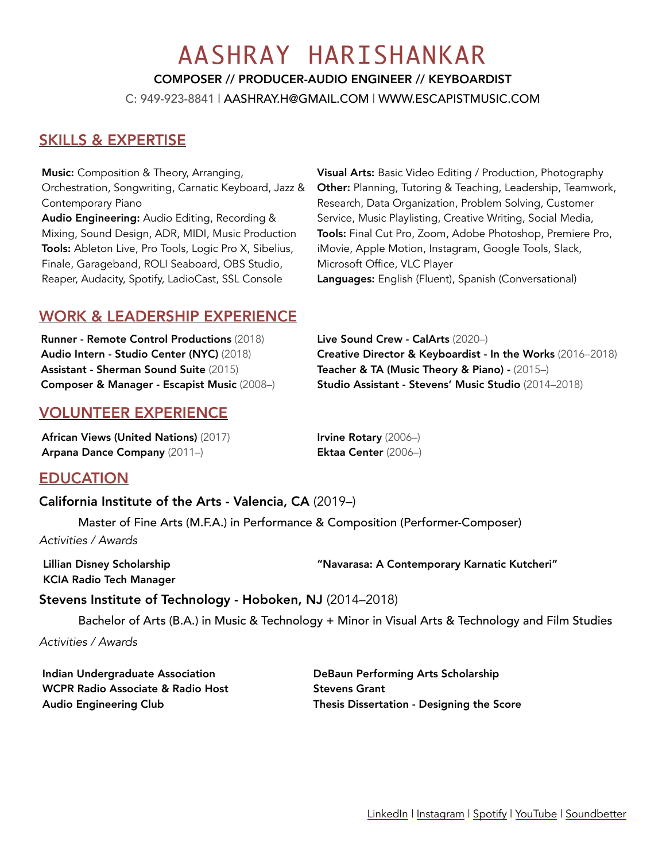# AASHRAY HARISHANKAR

COMPOSER // PRODUCER-AUDIO ENGINEER // KEYBOARDIST

C: 949-923-8841 | [AASHRAY.H@GMAIL.COM](mailto:AASHRAY.H@GMAIL.COM) | [WWW.ESCAPISTMUSIC.COM](http://WWW.ESCAPISTMUSIC.COM)

# SKILLS & EXPERTISE

Music: Composition & Theory, Arranging, Orchestration, Songwriting, Carnatic Keyboard, Jazz & Contemporary Piano Audio Engineering: Audio Editing, Recording & Mixing, Sound Design, ADR, MIDI, Music Production Tools: Ableton Live, Pro Tools, Logic Pro X, Sibelius, Finale, Garageband, ROLI Seaboard, OBS Studio, Reaper, Audacity, Spotify, LadioCast, SSL Console

Visual Arts: Basic Video Editing / Production, Photography Other: Planning, Tutoring & Teaching, Leadership, Teamwork, Research, Data Organization, Problem Solving, Customer Service, Music Playlisting, Creative Writing, Social Media, Tools: Final Cut Pro, Zoom, Adobe Photoshop, Premiere Pro, iMovie, Apple Motion, Instagram, Google Tools, Slack, Microsoft Office, VLC Player Languages: English (Fluent), Spanish (Conversational)

# WORK & LEADERSHIP EXPERIENCE

Runner - Remote Control Productions (2018) Audio Intern - Studio Center (NYC) (2018) Assistant - Sherman Sound Suite (2015) Composer & Manager - Escapist Music (2008–)

## VOLUNTEER EXPERIENCE

African Views (United Nations) (2017) Arpana Dance Company (2011–)

Creative Director & Keyboardist - In the Works (2016–2018) Teacher & TA (Music Theory & Piano) - (2015–) Studio Assistant - Stevens' Music Studio (2014–2018)

Irvine Rotary (2006–) Ektaa Center (2006–)

Live Sound Crew - CalArts (2020–)

### EDUCATION

California Institute of the Arts - Valencia, CA (2019–)

Master of Fine Arts (M.F.A.) in Performance & Composition (Performer-Composer)

*Activities / Awards*

Lillian Disney Scholarship KCIA Radio Tech Manager "Navarasa: A Contemporary Karnatic Kutcheri"

Stevens Institute of Technology - Hoboken, NJ (2014–2018)

Bachelor of Arts (B.A.) in Music & Technology + Minor in Visual Arts & Technology and Film Studies

*Activities / Awards*

Indian Undergraduate Association WCPR Radio Associate & Radio Host Audio Engineering Club

DeBaun Performing Arts Scholarship Stevens Grant Thesis Dissertation - Designing the Score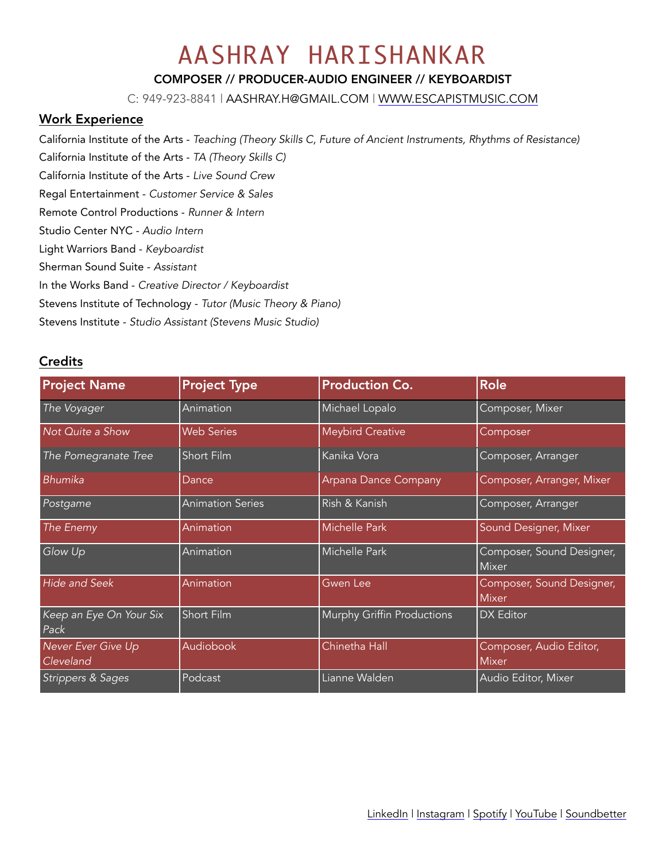# AASHRAY HARISHANKAR

#### COMPOSER // PRODUCER-AUDIO ENGINEER // KEYBOARDIST

C: 949-923-8841 | [AASHRAY.H@GMAIL.COM](mailto:AASHRAY.H@GMAIL.COM) | [WWW.ESCAPISTMUSIC.COM](http://WWW.ESCAPISTMUSIC.COM)

#### Work Experience

California Institute of the Arts - *Teaching (Theory Skills C, Future of Ancient Instruments, Rhythms of Resistance)*

California Institute of the Arts - *TA (Theory Skills C)* 

California Institute of the Arts - *Live Sound Crew* 

Regal Entertainment - *Customer Service & Sales* 

- Remote Control Productions *Runner & Intern*
- Studio Center NYC *Audio Intern*
- Light Warriors Band *Keyboardist*
- Sherman Sound Suite *Assistant*

In the Works Band - *Creative Director / Keyboardist* 

Stevens Institute of Technology - *Tutor (Music Theory & Piano)* 

Stevens Institute - *Studio Assistant (Stevens Music Studio)* 

#### **Credits**

| <b>Project Name</b>             | <b>Project Type</b>     | <b>Production Co.</b>      | <b>Role</b>                               |
|---------------------------------|-------------------------|----------------------------|-------------------------------------------|
| The Voyager                     | Animation               | Michael Lopalo             | Composer, Mixer                           |
| Not Quite a Show                | <b>Web Series</b>       | <b>Meybird Creative</b>    | Composer                                  |
| The Pomegranate Tree            | Short Film              | Kanika Vora                | Composer, Arranger                        |
| Bhumika                         | Dance                   | Arpana Dance Company       | Composer, Arranger, Mixer                 |
| Postgame                        | <b>Animation Series</b> | Rish & Kanish              | Composer, Arranger                        |
| The Enemy                       | <b>Animation</b>        | <b>Michelle Park</b>       | Sound Designer, Mixer                     |
| Glow Up                         | Animation               | Michelle Park              | Composer, Sound Designer,<br>Mixer        |
| <b>Hide and Seek</b>            | Animation               | Gwen Lee                   | Composer, Sound Designer,<br><b>Mixer</b> |
| Keep an Eye On Your Six<br>Pack | Short Film              | Murphy Griffin Productions | DX Editor                                 |
| Never Ever Give Up<br>Cleveland | Audiobook               | Chinetha Hall              | Composer, Audio Editor,<br><b>Mixer</b>   |
| Strippers & Sages               | Podcast                 | Lianne Walden              | Audio Editor, Mixer                       |